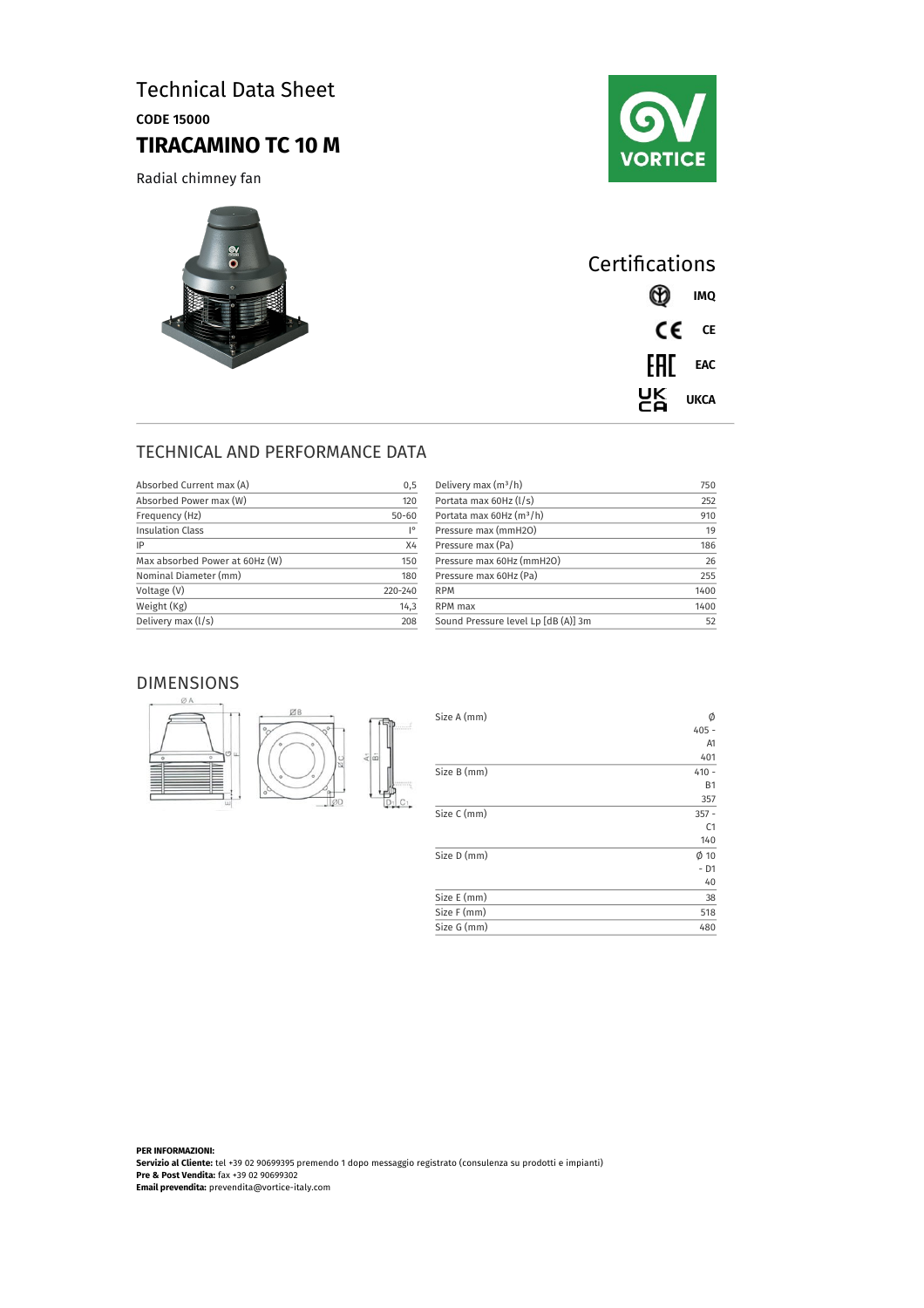# Technical Data Sheet

CODE 15000

# **TIRACAMINO TC 10 M**

Radial chimney fan





| Certifications |          |               |
|----------------|----------|---------------|
|                |          | <b>CD</b> IMQ |
|                |          | CE CE         |
|                | FHI EAC  |               |
|                | CA<br>CA | UKCA          |

 $\phi$ <br>405 -A1 401

> B1 357

> C1 140

- D1  $-40$ 

### TECHNICAL AND PERFORMANCE DATA

| Absorbed Current max (A)       | 0,5       |
|--------------------------------|-----------|
| Absorbed Power max (W)         | 120       |
| Frequency (Hz)                 | $50 - 60$ |
| <b>Insulation Class</b>        | I۰        |
| IP                             | X4        |
| Max absorbed Power at 60Hz (W) | 150       |
| Nominal Diameter (mm)          | 180       |
| Voltage (V)                    | 220-240   |
| Weight (Kg)                    | 14,3      |
| Delivery max (I/s)             | 208       |

| 750  |
|------|
| 252  |
| 910  |
| 19   |
| 186  |
| 26   |
| 255  |
| 1400 |
| 1400 |
| 52   |
|      |

#### DIMENSIONS





**PER INFORMAZIONI: Servizio al Cliente:** tel +39 02 90699395 premendo 1 dopo messaggio registrato (consulenza su prodotti e impianti) **Pre & Post Vendita:** fax +39 02 90699302 **Email prevendita:** prevendita@vortice-italy.com